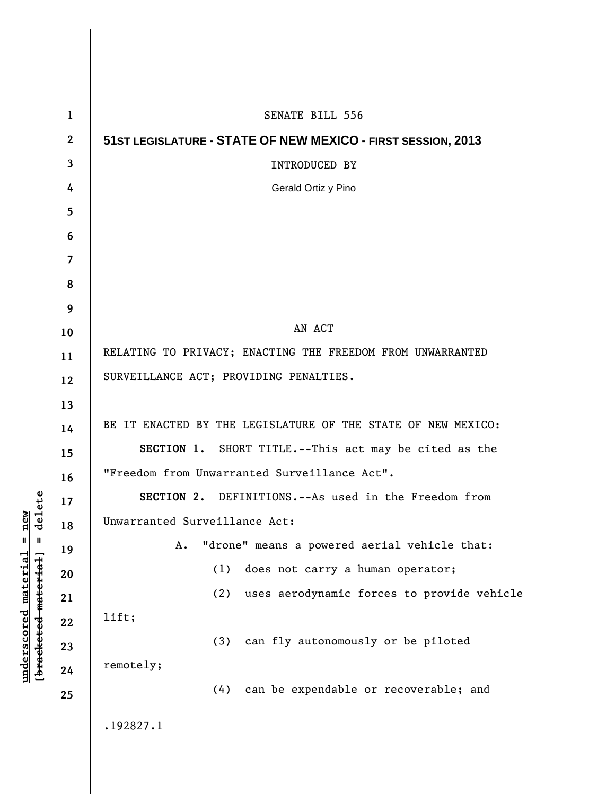| $\mathbf{1}$             | SENATE BILL 556                                              |
|--------------------------|--------------------------------------------------------------|
| $\mathbf{2}$             | 51ST LEGISLATURE - STATE OF NEW MEXICO - FIRST SESSION, 2013 |
| 3                        | <b>INTRODUCED BY</b>                                         |
| 4                        | Gerald Ortiz y Pino                                          |
| 5                        |                                                              |
| 6                        |                                                              |
| $\overline{\mathcal{L}}$ |                                                              |
| 8                        |                                                              |
| 9                        |                                                              |
| 10                       | AN ACT                                                       |
| 11                       | RELATING TO PRIVACY; ENACTING THE FREEDOM FROM UNWARRANTED   |
| 12                       | SURVEILLANCE ACT; PROVIDING PENALTIES.                       |
| 13                       |                                                              |
| 14                       | BE IT ENACTED BY THE LEGISLATURE OF THE STATE OF NEW MEXICO: |
| 15                       | SECTION 1. SHORT TITLE.--This act may be cited as the        |
| 16                       | "Freedom from Unwarranted Surveillance Act".                 |
| 17                       | SECTION 2. DEFINITIONS.--As used in the Freedom from         |
| 18                       | Unwarranted Surveillance Act:                                |
| 19                       | "drone" means a powered aerial vehicle that:<br>A.           |
| 20                       | does not carry a human operator;<br>(1)                      |
| 21                       | (2)<br>uses aerodynamic forces to provide vehicle            |
| 22                       | lift;                                                        |
| 23                       | (3)<br>can fly autonomously or be piloted                    |
| 24                       | remotely;                                                    |
| 25                       | can be expendable or recoverable; and<br>(4)                 |
|                          | .192827.1                                                    |

 $\overline{\phantom{a}}$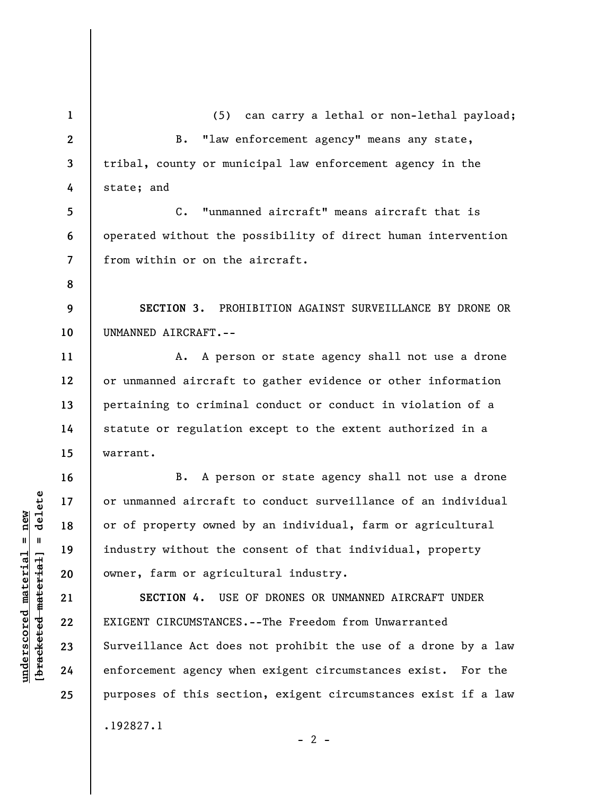**1 2 3 4 5**  (5) can carry a lethal or non-lethal payload; B. "law enforcement agency" means any state, tribal, county or municipal law enforcement agency in the state; and C. "unmanned aircraft" means aircraft that is

**6 7**  operated without the possibility of direct human intervention from within or on the aircraft.

**9 10 SECTION 3.** PROHIBITION AGAINST SURVEILLANCE BY DRONE OR UNMANNED AIRCRAFT.--

A. A person or state agency shall not use a drone or unmanned aircraft to gather evidence or other information pertaining to criminal conduct or conduct in violation of a statute or regulation except to the extent authorized in a warrant.

B. A person or state agency shall not use a drone or unmanned aircraft to conduct surveillance of an individual or of property owned by an individual, farm or agricultural industry without the consent of that individual, property owner, farm or agricultural industry.

**SECTION 4.** USE OF DRONES OR UNMANNED AIRCRAFT UNDER EXIGENT CIRCUMSTANCES.--The Freedom from Unwarranted Surveillance Act does not prohibit the use of a drone by a law enforcement agency when exigent circumstances exist. For the purposes of this section, exigent circumstances exist if a law .192827.1

 $- 2 -$ 

 $b$ racketed material] = delete **[bracketed material] = delete**  $underscored material = new$ **underscored material = new**

**8** 

**11** 

**12** 

**13** 

**14** 

**15** 

**16** 

**17** 

**18** 

**19** 

**20** 

**21** 

**22** 

**23** 

**24** 

**25**